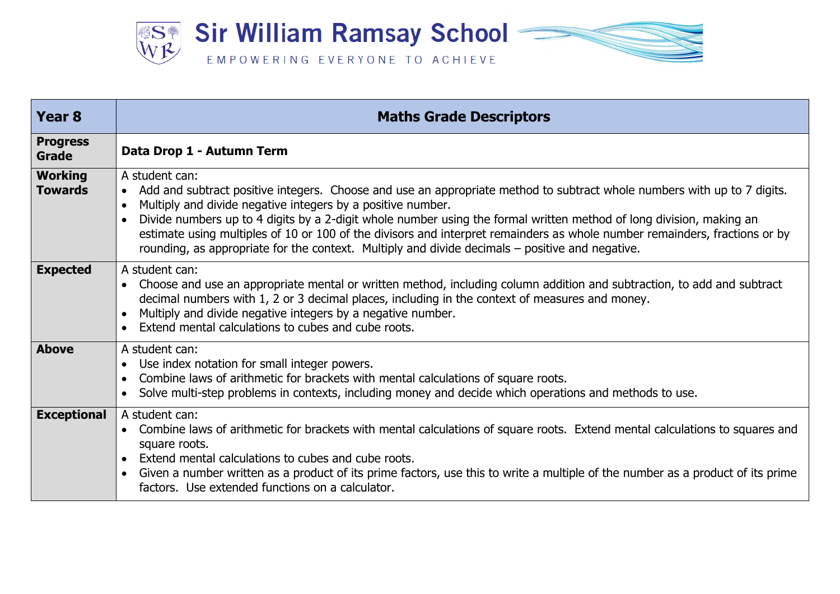

| Year <sub>8</sub>                | <b>Maths Grade Descriptors</b>                                                                                                                                                                                                                                                                                                                                                                                                                                                                                                                                                |
|----------------------------------|-------------------------------------------------------------------------------------------------------------------------------------------------------------------------------------------------------------------------------------------------------------------------------------------------------------------------------------------------------------------------------------------------------------------------------------------------------------------------------------------------------------------------------------------------------------------------------|
| <b>Progress</b><br>Grade         | Data Drop 1 - Autumn Term                                                                                                                                                                                                                                                                                                                                                                                                                                                                                                                                                     |
| <b>Working</b><br><b>Towards</b> | A student can:<br>Add and subtract positive integers. Choose and use an appropriate method to subtract whole numbers with up to 7 digits.<br>$\bullet$<br>Multiply and divide negative integers by a positive number.<br>Divide numbers up to 4 digits by a 2-digit whole number using the formal written method of long division, making an<br>estimate using multiples of 10 or 100 of the divisors and interpret remainders as whole number remainders, fractions or by<br>rounding, as appropriate for the context. Multiply and divide decimals – positive and negative. |
| <b>Expected</b>                  | A student can:<br>Choose and use an appropriate mental or written method, including column addition and subtraction, to add and subtract<br>decimal numbers with 1, 2 or 3 decimal places, including in the context of measures and money.<br>Multiply and divide negative integers by a negative number.<br>Extend mental calculations to cubes and cube roots.                                                                                                                                                                                                              |
| <b>Above</b>                     | A student can:<br>Use index notation for small integer powers.<br>Combine laws of arithmetic for brackets with mental calculations of square roots.<br>Solve multi-step problems in contexts, including money and decide which operations and methods to use.                                                                                                                                                                                                                                                                                                                 |
| <b>Exceptional</b>               | A student can:<br>Combine laws of arithmetic for brackets with mental calculations of square roots. Extend mental calculations to squares and<br>$\bullet$<br>square roots.<br>Extend mental calculations to cubes and cube roots.<br>Given a number written as a product of its prime factors, use this to write a multiple of the number as a product of its prime<br>factors. Use extended functions on a calculator.                                                                                                                                                      |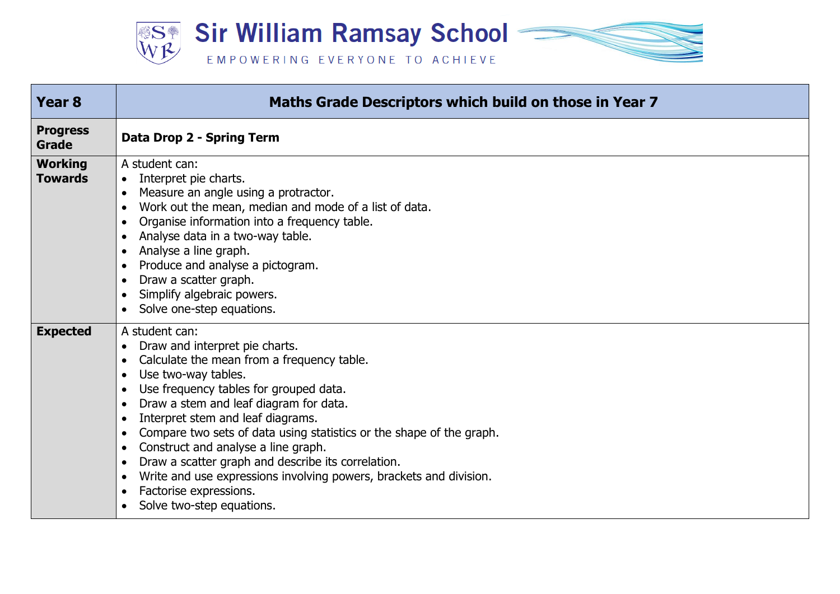

| Year <sub>8</sub>                | Maths Grade Descriptors which build on those in Year 7                                                                                                                                                                                                                                                                                                                                                                                                                                                                                                                                                                                                                                          |
|----------------------------------|-------------------------------------------------------------------------------------------------------------------------------------------------------------------------------------------------------------------------------------------------------------------------------------------------------------------------------------------------------------------------------------------------------------------------------------------------------------------------------------------------------------------------------------------------------------------------------------------------------------------------------------------------------------------------------------------------|
| <b>Progress</b><br><b>Grade</b>  | Data Drop 2 - Spring Term                                                                                                                                                                                                                                                                                                                                                                                                                                                                                                                                                                                                                                                                       |
| <b>Working</b><br><b>Towards</b> | A student can:<br>Interpret pie charts.<br>$\bullet$<br>Measure an angle using a protractor.<br>$\bullet$<br>Work out the mean, median and mode of a list of data.<br>Organise information into a frequency table.<br>Analyse data in a two-way table.<br>Analyse a line graph.<br>$\bullet$<br>Produce and analyse a pictogram.<br>Draw a scatter graph.<br>$\bullet$<br>Simplify algebraic powers.<br>Solve one-step equations.<br>$\bullet$                                                                                                                                                                                                                                                  |
| <b>Expected</b>                  | A student can:<br>Draw and interpret pie charts.<br>$\bullet$<br>Calculate the mean from a frequency table.<br>$\bullet$<br>Use two-way tables.<br>$\bullet$<br>Use frequency tables for grouped data.<br>$\bullet$<br>Draw a stem and leaf diagram for data.<br>$\bullet$<br>Interpret stem and leaf diagrams.<br>$\bullet$<br>Compare two sets of data using statistics or the shape of the graph.<br>$\bullet$<br>Construct and analyse a line graph.<br>$\bullet$<br>Draw a scatter graph and describe its correlation.<br>$\bullet$<br>Write and use expressions involving powers, brackets and division.<br>$\bullet$<br>Factorise expressions.<br>$\bullet$<br>Solve two-step equations. |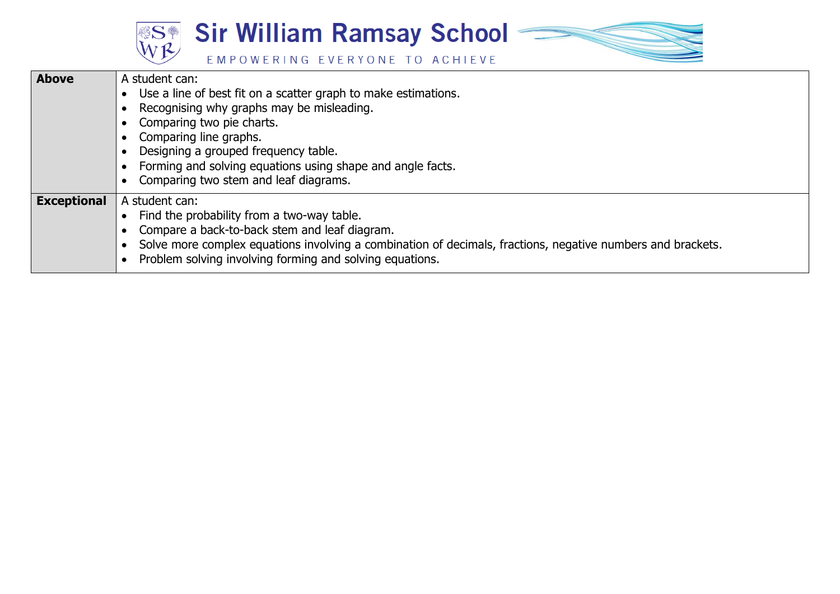



| <b>Above</b>       | A student can:<br>Use a line of best fit on a scatter graph to make estimations.<br>Recognising why graphs may be misleading.<br>Comparing two pie charts.<br>Comparing line graphs.<br>Designing a grouped frequency table.<br>Forming and solving equations using shape and angle facts.<br>Comparing two stem and leaf diagrams. |
|--------------------|-------------------------------------------------------------------------------------------------------------------------------------------------------------------------------------------------------------------------------------------------------------------------------------------------------------------------------------|
| <b>Exceptional</b> | A student can:<br>Find the probability from a two-way table.<br>Compare a back-to-back stem and leaf diagram.<br>Solve more complex equations involving a combination of decimals, fractions, negative numbers and brackets.<br>Problem solving involving forming and solving equations.                                            |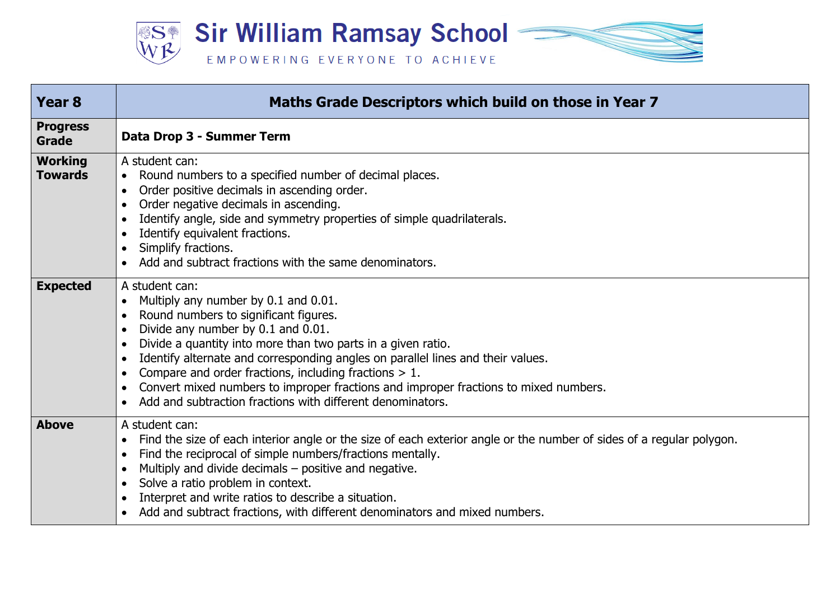

| Year <sub>8</sub>                | Maths Grade Descriptors which build on those in Year 7                                                                                                                                                                                                                                                                                                                                                                                                                                                     |
|----------------------------------|------------------------------------------------------------------------------------------------------------------------------------------------------------------------------------------------------------------------------------------------------------------------------------------------------------------------------------------------------------------------------------------------------------------------------------------------------------------------------------------------------------|
| <b>Progress</b><br><b>Grade</b>  | Data Drop 3 - Summer Term                                                                                                                                                                                                                                                                                                                                                                                                                                                                                  |
| <b>Working</b><br><b>Towards</b> | A student can:<br>Round numbers to a specified number of decimal places.<br>$\bullet$<br>Order positive decimals in ascending order.<br>Order negative decimals in ascending.<br>Identify angle, side and symmetry properties of simple quadrilaterals.<br>Identify equivalent fractions.<br>Simplify fractions.<br>Add and subtract fractions with the same denominators.                                                                                                                                 |
| <b>Expected</b>                  | A student can:<br>Multiply any number by 0.1 and 0.01.<br>Round numbers to significant figures.<br>Divide any number by 0.1 and 0.01.<br>Divide a quantity into more than two parts in a given ratio.<br>Identify alternate and corresponding angles on parallel lines and their values.<br>Compare and order fractions, including fractions $> 1$ .<br>Convert mixed numbers to improper fractions and improper fractions to mixed numbers.<br>Add and subtraction fractions with different denominators. |
| <b>Above</b>                     | A student can:<br>Find the size of each interior angle or the size of each exterior angle or the number of sides of a regular polygon.<br>$\bullet$<br>Find the reciprocal of simple numbers/fractions mentally.<br>Multiply and divide decimals – positive and negative.<br>Solve a ratio problem in context.<br>Interpret and write ratios to describe a situation.<br>Add and subtract fractions, with different denominators and mixed numbers.                                                        |